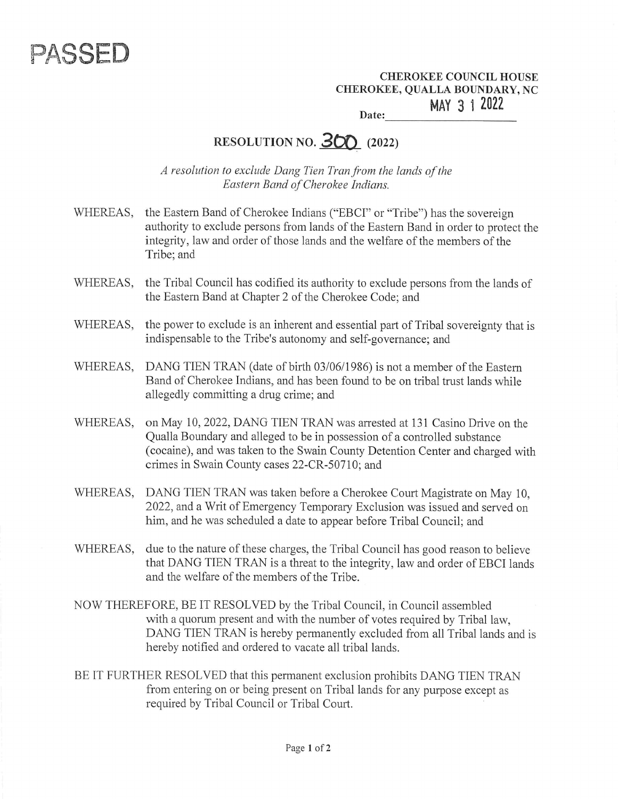

CHEROKEE COUNCIL HOUSE CHEROKEE, QUALLA BOUNDARY, NC MAY 3 4 2022 Date:

## RESOLUTION NO.  $300$  (2022)

A resolution to exclude Dang Tien Tran from the lands of the Eastern Band of Cherokee Indians.

- WHEREAS, the Eastern Band of Cherokee Indians ("EBCI" or "Tribe") has the sovereign authority to exclude persons from lands of the Eastern Band in order to protect the integrity, law and order of those lands and the welfare of the members of the Tribe; and
- WHEREAS, the Tribal Council has codified its authority to exclude persons from the lands of the Eastern Band at Chapter 2 of the Cherokee Code; and
- WHEREAS, the power to exclude is an inherent and essential part of Tribal sovereignty that is indispensable to the Tribe's autonomy and self-governance; and
- WHEREAS. DANG TIEN TRAN (date of birth 03/06/1986) is not a member of the Eastern Band of Cherokee Indians, and has been found to be on tribal trust lands while allegedly committing a drug crime; and
- WHEREAS, on May 10, 2022, DANG TIEN TRAN was arrested at 131 Casino Drive on the Qualla Boundary and alleged to be in possession of a controlled substance (cocaine), and was taken to the Swain County Detention Center and charged with crimes in Swain County cases 22-CR-50710; and
- WHEREAS, DANG TIEN TRAN was taken before a Cherokee Court Magistrate on May 10. 2022, and a Writ of Emergency Temporary Exclusion was issued and served on him, and he was scheduled a date to appear before Tribal Council; and
- WHEREAS, due to the nature of these charges, the Tribal Council has good reason to believe that DANG TIEN TRAN is a threat to the integrity, law and order of EBCI lands and the welfare of the members of the Tribe.
- NOW THEREFORE, BE IT RESOLVED by the Tribal Council, in Council assembled with a quorum present and with the number of votes required by Tribal law, DANG TIEN TRAN is hereby permanently excluded from all Tribal lands and is hereby notified and ordered to vacate all tribal lands.
- BE IT FURTHER RESOLVED that this permanent exclusion prohibits DANG TIEN TRAN from entering on or being present on Tribal lands for any purpose except as required by Tribal Council or Tribal Court.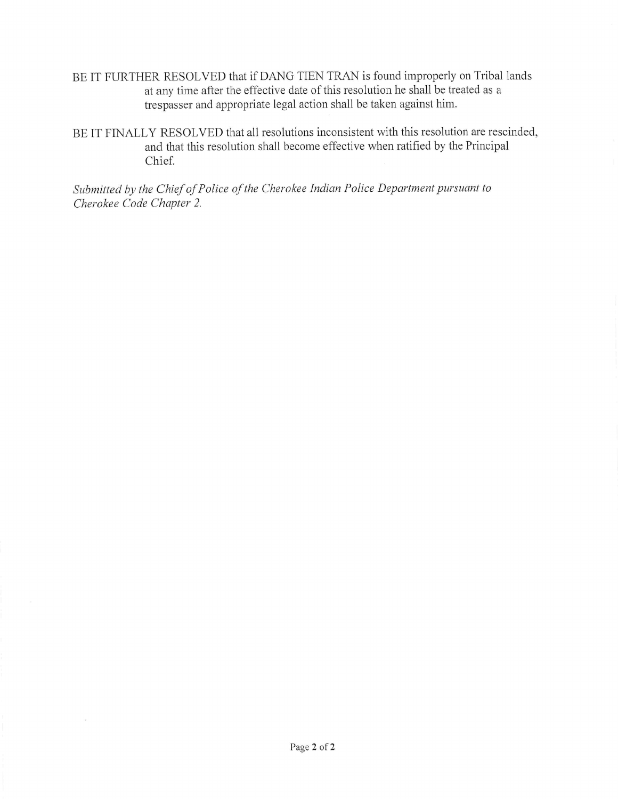- BE IT FURTHER RESOLVED that if DANG TIEN TRAN is found improperly on Tribal lands at any time after the effective date of this resolution he shall be treated as a trespasser and appropriate legal action shall be taken against him.
- BE IT FINALLY RESOLVED that all resolutions inconsistent with this resolution are rescinded, and that this resolution shall become effective when ratified by the Principal Chief.

Submitted by the Chief of Police of the Cherokee Indian Police Department pursuant to Cherokee Code Chapter 2.